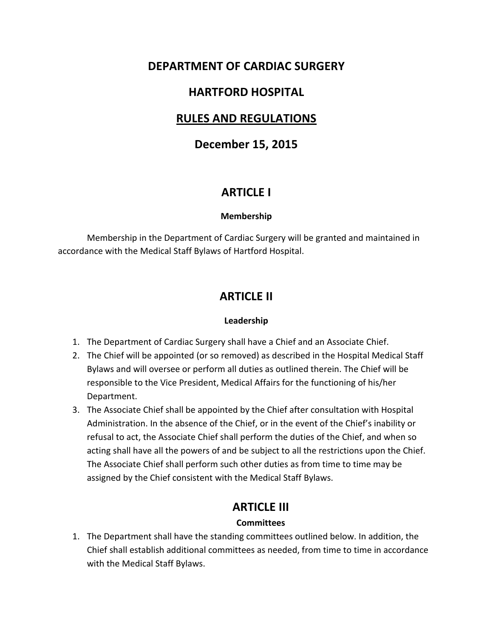## **DEPARTMENT OF CARDIAC SURGERY**

## **HARTFORD HOSPITAL**

## **RULES AND REGULATIONS**

## **December 15, 2015**

## **ARTICLE I**

#### **Membership**

Membership in the Department of Cardiac Surgery will be granted and maintained in accordance with the Medical Staff Bylaws of Hartford Hospital.

## **ARTICLE II**

#### **Leadership**

- 1. The Department of Cardiac Surgery shall have a Chief and an Associate Chief.
- 2. The Chief will be appointed (or so removed) as described in the Hospital Medical Staff Bylaws and will oversee or perform all duties as outlined therein. The Chief will be responsible to the Vice President, Medical Affairs for the functioning of his/her Department.
- 3. The Associate Chief shall be appointed by the Chief after consultation with Hospital Administration. In the absence of the Chief, or in the event of the Chief's inability or refusal to act, the Associate Chief shall perform the duties of the Chief, and when so acting shall have all the powers of and be subject to all the restrictions upon the Chief. The Associate Chief shall perform such other duties as from time to time may be assigned by the Chief consistent with the Medical Staff Bylaws.

### **ARTICLE III**

#### **Committees**

1. The Department shall have the standing committees outlined below. In addition, the Chief shall establish additional committees as needed, from time to time in accordance with the Medical Staff Bylaws.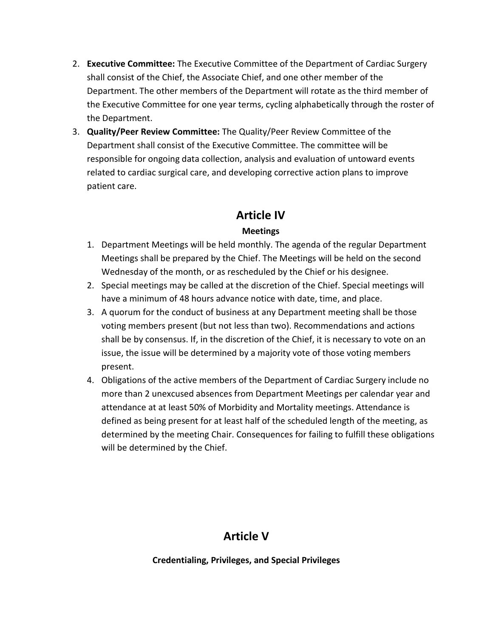- 2. **Executive Committee:** The Executive Committee of the Department of Cardiac Surgery shall consist of the Chief, the Associate Chief, and one other member of the Department. The other members of the Department will rotate as the third member of the Executive Committee for one year terms, cycling alphabetically through the roster of the Department.
- 3. **Quality/Peer Review Committee:** The Quality/Peer Review Committee of the Department shall consist of the Executive Committee. The committee will be responsible for ongoing data collection, analysis and evaluation of untoward events related to cardiac surgical care, and developing corrective action plans to improve patient care.

## **Article IV**

#### **Meetings**

- 1. Department Meetings will be held monthly. The agenda of the regular Department Meetings shall be prepared by the Chief. The Meetings will be held on the second Wednesday of the month, or as rescheduled by the Chief or his designee.
- 2. Special meetings may be called at the discretion of the Chief. Special meetings will have a minimum of 48 hours advance notice with date, time, and place.
- 3. A quorum for the conduct of business at any Department meeting shall be those voting members present (but not less than two). Recommendations and actions shall be by consensus. If, in the discretion of the Chief, it is necessary to vote on an issue, the issue will be determined by a majority vote of those voting members present.
- 4. Obligations of the active members of the Department of Cardiac Surgery include no more than 2 unexcused absences from Department Meetings per calendar year and attendance at at least 50% of Morbidity and Mortality meetings. Attendance is defined as being present for at least half of the scheduled length of the meeting, as determined by the meeting Chair. Consequences for failing to fulfill these obligations will be determined by the Chief.

# **Article V**

**Credentialing, Privileges, and Special Privileges**